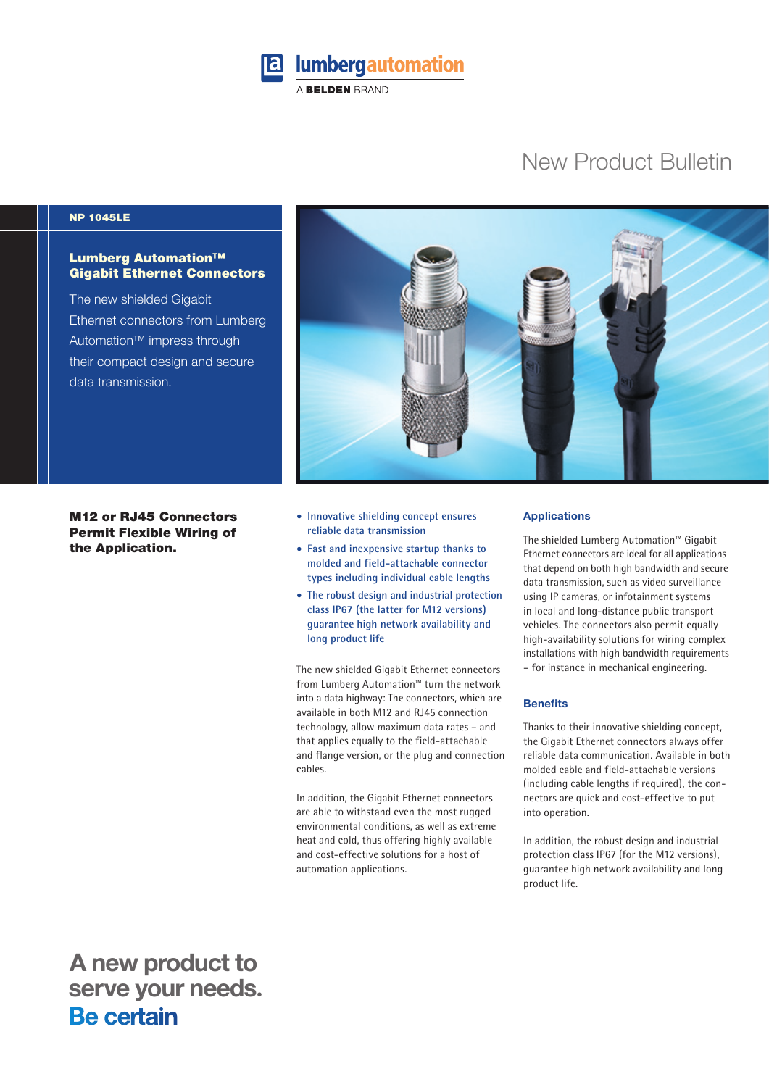

# New Product Bulletin

## NP 1045LE

# Lumberg Automation™ Gigabit Ethernet Connectors

The new shielded Gigabit Ethernet connectors from Lumberg Automation™ impress through their compact design and secure data transmission.

M12 or RJ45 Connectors Permit Flexible Wiring of the Application.



- **Innovative shielding concept ensures reliable data transmission**
- **Fast and inexpensive startup thanks to molded and field-attachable connector types including individual cable lengths**
- **The robust design and industrial protection class IP67 (the latter for M12 versions) guarantee high network availability and long product life**

The new shielded Gigabit Ethernet connectors from Lumberg Automation™ turn the network into a data highway: The connectors, which are available in both M12 and RJ45 connection technology, allow maximum data rates – and that applies equally to the field-attachable and flange version, or the plug and connection cables.

In addition, the Gigabit Ethernet connectors are able to withstand even the most rugged environmental conditions, as well as extreme heat and cold, thus offering highly available and cost-effective solutions for a host of automation applications.

### **Applications**

The shielded Lumberg Automation™ Gigabit Ethernet connectors are ideal for all applications that depend on both high bandwidth and secure data transmission, such as video surveillance using IP cameras, or infotainment systems in local and long-distance public transport vehicles. The connectors also permit equally high-availability solutions for wiring complex installations with high bandwidth requirements – for instance in mechanical engineering.

#### **Benefits**

Thanks to their innovative shielding concept, the Gigabit Ethernet connectors always offer reliable data communication. Available in both molded cable and field-attachable versions (including cable lengths if required), the connectors are quick and cost-effective to put into operation.

In addition, the robust design and industrial protection class IP67 (for the M12 versions), guarantee high network availability and long product life.

 **A new product to** serve your needs.<br>**Be certain**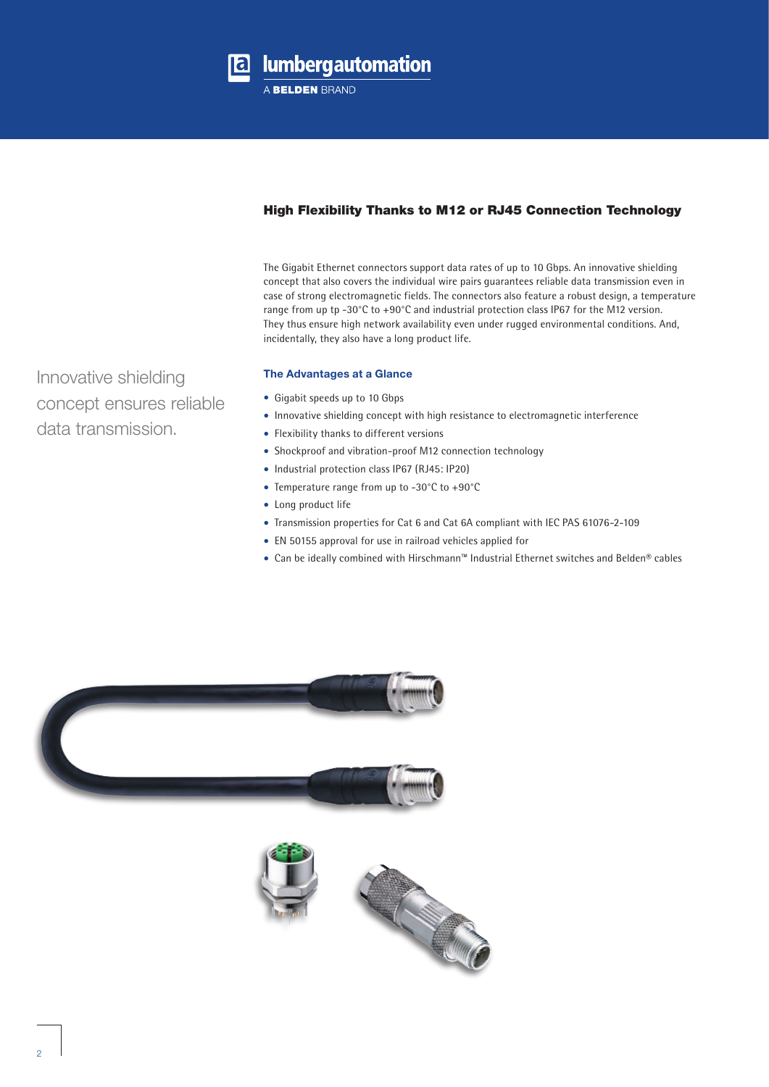

# High Flexibility Thanks to M12 or RJ45 Connection Technology

The Gigabit Ethernet connectors support data rates of up to 10 Gbps. An innovative shielding concept that also covers the individual wire pairs guarantees reliable data transmission even in case of strong electromagnetic fields. The connectors also feature a robust design, a temperature range from up tp -30°C to +90°C and industrial protection class IP67 for the M12 version. They thus ensure high network availability even under rugged environmental conditions. And, incidentally, they also have a long product life.

## **The Advantages at a Glance**

- Gigabit speeds up to 10 Gbps
- Innovative shielding concept with high resistance to electromagnetic interference
- Flexibility thanks to different versions
- Shockproof and vibration-proof M12 connection technology
- Industrial protection class IP67 (RJ45: IP20)
- Temperature range from up to -30°C to +90°C
- Long product life
- Transmission properties for Cat 6 and Cat 6A compliant with IEC PAS 61076-2-109
- EN 50155 approval for use in railroad vehicles applied for
- Can be ideally combined with Hirschmann™ Industrial Ethernet switches and Belden® cables





Innovative shielding concept ensures reliable data transmission.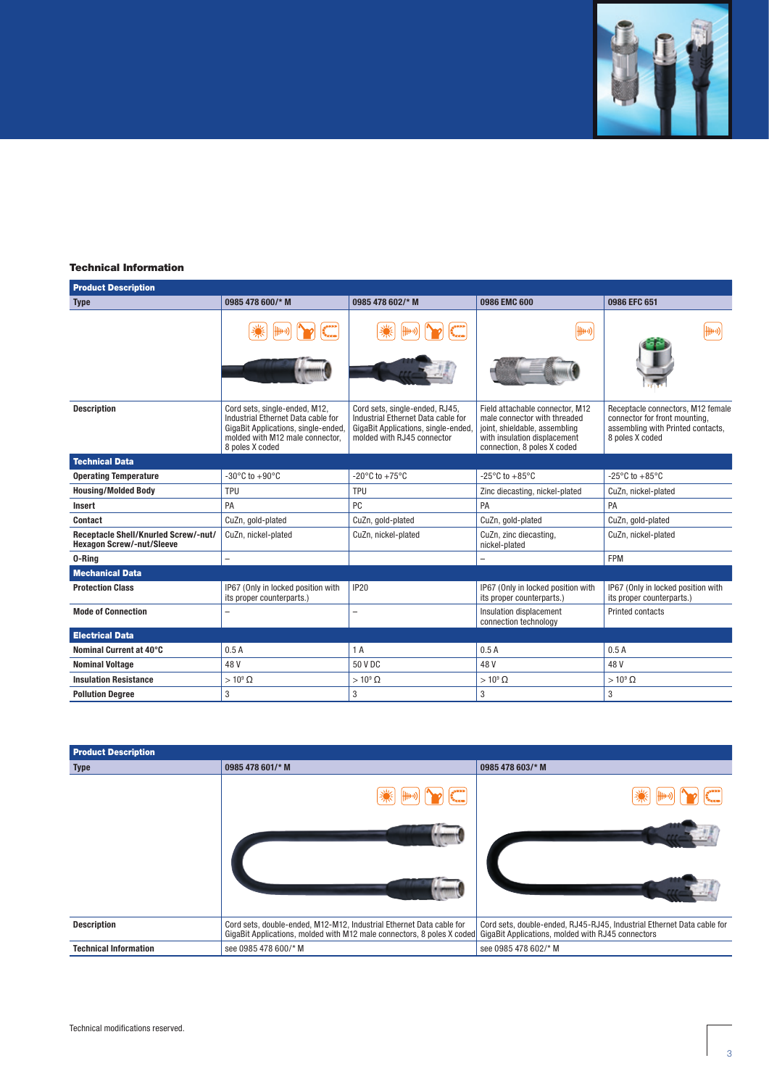

# Technical Information

| <b>Product Description</b>                                               |                                                                                                                                                                  |                                                                                                                                           |                                                                                                                                                                 |                                                                                                                            |  |
|--------------------------------------------------------------------------|------------------------------------------------------------------------------------------------------------------------------------------------------------------|-------------------------------------------------------------------------------------------------------------------------------------------|-----------------------------------------------------------------------------------------------------------------------------------------------------------------|----------------------------------------------------------------------------------------------------------------------------|--|
| <b>Type</b>                                                              | 0985 478 600/* M                                                                                                                                                 | 0985 478 602/* M                                                                                                                          | 0986 EMC 600                                                                                                                                                    | 0986 EFC 651                                                                                                               |  |
|                                                                          |                                                                                                                                                                  |                                                                                                                                           | {{#⊬)                                                                                                                                                           |                                                                                                                            |  |
| <b>Description</b>                                                       | Cord sets, single-ended, M12,<br>Industrial Ethernet Data cable for<br>GigaBit Applications, single-ended,<br>molded with M12 male connector.<br>8 poles X coded | Cord sets, single-ended, RJ45,<br>Industrial Ethernet Data cable for<br>GigaBit Applications, single-ended,<br>molded with RJ45 connector | Field attachable connector, M12<br>male connector with threaded<br>joint, shieldable, assembling<br>with insulation displacement<br>connection, 8 poles X coded | Receptacle connectors, M12 female<br>connector for front mounting,<br>assembling with Printed contacts,<br>8 poles X coded |  |
| <b>Technical Data</b>                                                    |                                                                                                                                                                  |                                                                                                                                           |                                                                                                                                                                 |                                                                                                                            |  |
| <b>Operating Temperature</b>                                             | $-30^{\circ}$ C to $+90^{\circ}$ C                                                                                                                               | -20 $^{\circ}$ C to +75 $^{\circ}$ C                                                                                                      | -25 $^{\circ}$ C to +85 $^{\circ}$ C                                                                                                                            | -25 $\mathrm{^{\circ}C}$ to +85 $\mathrm{^{\circ}C}$                                                                       |  |
| <b>Housing/Molded Body</b>                                               | TPU                                                                                                                                                              | TPU                                                                                                                                       | Zinc diecasting, nickel-plated                                                                                                                                  | CuZn, nickel-plated                                                                                                        |  |
| <b>Insert</b>                                                            | PA                                                                                                                                                               | PC                                                                                                                                        | PA                                                                                                                                                              | PA                                                                                                                         |  |
| Contact                                                                  | CuZn, gold-plated                                                                                                                                                | CuZn, gold-plated                                                                                                                         | CuZn, gold-plated                                                                                                                                               | CuZn, gold-plated                                                                                                          |  |
| Receptacle Shell/Knurled Screw/-nut/<br><b>Hexagon Screw/-nut/Sleeve</b> | CuZn, nickel-plated                                                                                                                                              | CuZn, nickel-plated                                                                                                                       | CuZn, zinc diecasting,<br>nickel-plated                                                                                                                         | CuZn, nickel-plated                                                                                                        |  |
| 0-Ring                                                                   | $\overline{\phantom{0}}$                                                                                                                                         |                                                                                                                                           |                                                                                                                                                                 | <b>FPM</b>                                                                                                                 |  |
| <b>Mechanical Data</b>                                                   |                                                                                                                                                                  |                                                                                                                                           |                                                                                                                                                                 |                                                                                                                            |  |
| <b>Protection Class</b>                                                  | IP67 (Only in locked position with<br>its proper counterparts.)                                                                                                  | <b>IP20</b>                                                                                                                               | IP67 (Only in locked position with<br>its proper counterparts.)                                                                                                 | IP67 (Only in locked position with<br>its proper counterparts.)                                                            |  |
| <b>Mode of Connection</b>                                                |                                                                                                                                                                  |                                                                                                                                           | Insulation displacement<br>connection technology                                                                                                                | <b>Printed contacts</b>                                                                                                    |  |
| <b>Electrical Data</b>                                                   |                                                                                                                                                                  |                                                                                                                                           |                                                                                                                                                                 |                                                                                                                            |  |
| Nominal Current at 40°C                                                  | 0.5A                                                                                                                                                             | 1A                                                                                                                                        | 0.5A                                                                                                                                                            | 0.5A                                                                                                                       |  |
| <b>Nominal Voltage</b>                                                   | 48V                                                                                                                                                              | 50 V DC                                                                                                                                   | 48 V                                                                                                                                                            | 48 V                                                                                                                       |  |
| <b>Insulation Resistance</b>                                             | $>10^9 \Omega$                                                                                                                                                   | $>10^9 \Omega$                                                                                                                            | $>10^9 \Omega$                                                                                                                                                  | $>10^9 \Omega$                                                                                                             |  |
| <b>Pollution Degree</b>                                                  | $\mathbf{3}$                                                                                                                                                     | 3                                                                                                                                         | 3                                                                                                                                                               | 3                                                                                                                          |  |

| <b>Product Description</b>   |                                                                                                                                                |                                                                                                                             |  |  |  |
|------------------------------|------------------------------------------------------------------------------------------------------------------------------------------------|-----------------------------------------------------------------------------------------------------------------------------|--|--|--|
| <b>Type</b>                  | 0985 478 601/* M                                                                                                                               | 0985 478 603/* M                                                                                                            |  |  |  |
|                              | 卌→ ))                                                                                                                                          | <del>{{   +</del> +)}                                                                                                       |  |  |  |
|                              |                                                                                                                                                |                                                                                                                             |  |  |  |
|                              |                                                                                                                                                |                                                                                                                             |  |  |  |
| <b>Description</b>           | Cord sets, double-ended, M12-M12, Industrial Ethernet Data cable for<br>GigaBit Applications, molded with M12 male connectors, 8 poles X coded | Cord sets, double-ended, RJ45-RJ45, Industrial Ethernet Data cable for<br>GigaBit Applications, molded with RJ45 connectors |  |  |  |
| <b>Technical Information</b> | see 0985 478 600/* M                                                                                                                           | see 0985 478 602/* M                                                                                                        |  |  |  |